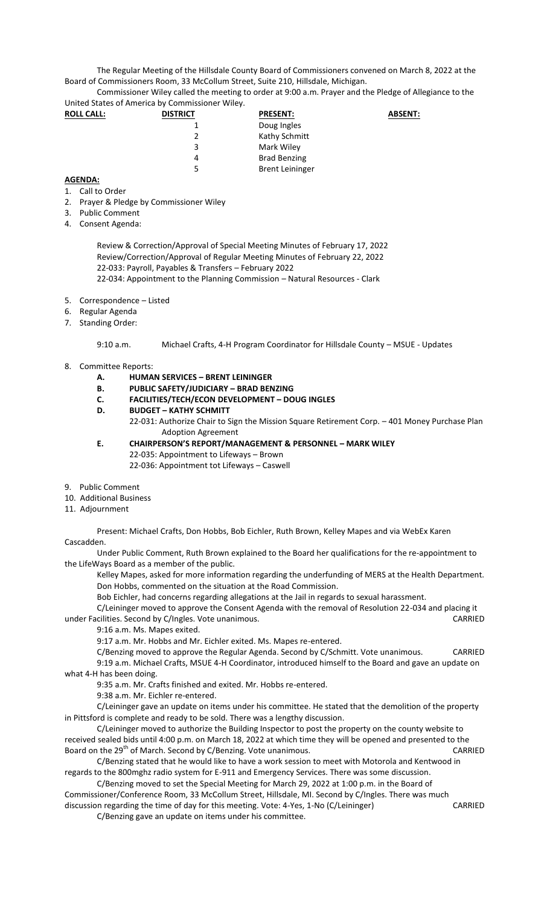The Regular Meeting of the Hillsdale County Board of Commissioners convened on March 8, 2022 at the Board of Commissioners Room, 33 McCollum Street, Suite 210, Hillsdale, Michigan.

Commissioner Wiley called the meeting to order at 9:00 a.m. Prayer and the Pledge of Allegiance to the United States of America by Commissioner Wiley.

| <b>ROLL CALL:</b> | <b>DISTRICT</b> | <b>PRESENT:</b>        | <b>ABSENT:</b> |
|-------------------|-----------------|------------------------|----------------|
|                   |                 | Doug Ingles            |                |
|                   | 2               | Kathy Schmitt          |                |
|                   | 3               | Mark Wiley             |                |
|                   | 4               | <b>Brad Benzing</b>    |                |
|                   | 5               | <b>Brent Leininger</b> |                |

## **AGENDA:**

- 1. Call to Order
- 2. Prayer & Pledge by Commissioner Wiley
- 3. Public Comment
- 4. Consent Agenda:

Review & Correction/Approval of Special Meeting Minutes of February 17, 2022 Review/Correction/Approval of Regular Meeting Minutes of February 22, 2022 22-033: Payroll, Payables & Transfers – February 2022 22-034: Appointment to the Planning Commission – Natural Resources - Clark

- 5. Correspondence Listed
- 6. Regular Agenda
- 7. Standing Order:

9:10 a.m. Michael Crafts, 4-H Program Coordinator for Hillsdale County – MSUE - Updates

- 8. Committee Reports:
	- **A. HUMAN SERVICES – BRENT LEININGER**
	- **B. PUBLIC SAFETY/JUDICIARY – BRAD BENZING**
	- **C. FACILITIES/TECH/ECON DEVELOPMENT – DOUG INGLES**
	- **D. BUDGET – KATHY SCHMITT**

22-031: Authorize Chair to Sign the Mission Square Retirement Corp. – 401 Money Purchase Plan Adoption Agreement

- **E. CHAIRPERSON'S REPORT/MANAGEMENT & PERSONNEL – MARK WILEY** 22-035: Appointment to Lifeways – Brown 22-036: Appointment tot Lifeways – Caswell
- 9. Public Comment
- 10. Additional Business
- 
- 11. Adjournment

Present: Michael Crafts, Don Hobbs, Bob Eichler, Ruth Brown, Kelley Mapes and via WebEx Karen Cascadden.

Under Public Comment, Ruth Brown explained to the Board her qualifications for the re-appointment to the LifeWays Board as a member of the public.

Kelley Mapes, asked for more information regarding the underfunding of MERS at the Health Department. Don Hobbs, commented on the situation at the Road Commission.

Bob Eichler, had concerns regarding allegations at the Jail in regards to sexual harassment.

C/Leininger moved to approve the Consent Agenda with the removal of Resolution 22-034 and placing it under Facilities. Second by C/Ingles. Vote unanimous. CARRIED

9:16 a.m. Ms. Mapes exited.

9:17 a.m. Mr. Hobbs and Mr. Eichler exited. Ms. Mapes re-entered.

C/Benzing moved to approve the Regular Agenda. Second by C/Schmitt. Vote unanimous. CARRIED 9:19 a.m. Michael Crafts, MSUE 4-H Coordinator, introduced himself to the Board and gave an update on what 4-H has been doing.

9:35 a.m. Mr. Crafts finished and exited. Mr. Hobbs re-entered.

9:38 a.m. Mr. Eichler re-entered.

C/Leininger gave an update on items under his committee. He stated that the demolition of the property in Pittsford is complete and ready to be sold. There was a lengthy discussion.

C/Leininger moved to authorize the Building Inspector to post the property on the county website to received sealed bids until 4:00 p.m. on March 18, 2022 at which time they will be opened and presented to the Board on the 29<sup>th</sup> of March. Second by C/Benzing. Vote unanimous. CARRIED

C/Benzing stated that he would like to have a work session to meet with Motorola and Kentwood in regards to the 800mghz radio system for E-911 and Emergency Services. There was some discussion.

C/Benzing moved to set the Special Meeting for March 29, 2022 at 1:00 p.m. in the Board of Commissioner/Conference Room, 33 McCollum Street, Hillsdale, MI. Second by C/Ingles. There was much discussion regarding the time of day for this meeting. Vote: 4-Yes, 1-No (C/Leininger) CARRIED

C/Benzing gave an update on items under his committee.